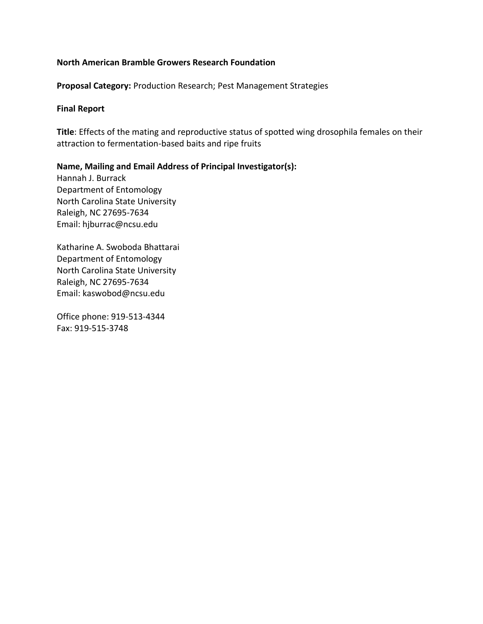# **North American Bramble Growers Research Foundation**

**Proposal Category:** Production Research; Pest Management Strategies

# **Final Report**

**Title**: Effects of the mating and reproductive status of spotted wing drosophila females on their attraction to fermentation-based baits and ripe fruits

**Name, Mailing and Email Address of Principal Investigator(s):**  Hannah J. Burrack Department of Entomology North Carolina State University

Raleigh, NC 27695-7634 Email: hjburrac@ncsu.edu

Katharine A. Swoboda Bhattarai Department of Entomology North Carolina State University Raleigh, NC 27695-7634 Email: kaswobod@ncsu.edu

Office phone: 919-513-4344 Fax: 919-515-3748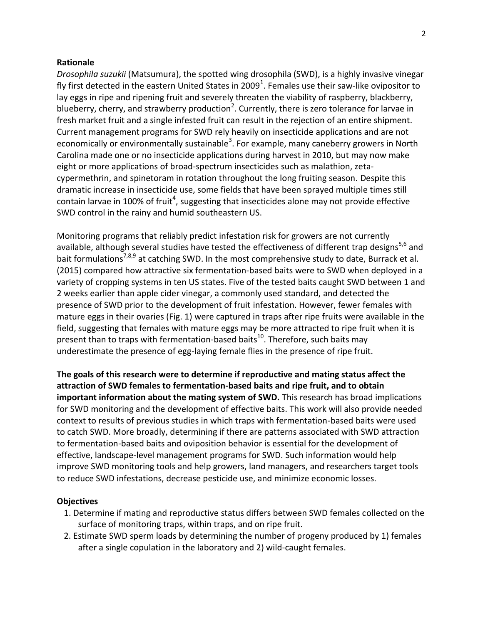#### **Rationale**

*Drosophila suzukii* (Matsumura), the spotted wing drosophila (SWD), is a highly invasive vinegar fly first detected in the eastern United States in 2009<sup>1</sup>. Females use their saw-like ovipositor to lay eggs in ripe and ripening fruit and severely threaten the viability of raspberry, blackberry, blueberry, cherry, and strawberry production<sup>2</sup>. Currently, there is zero tolerance for larvae in fresh market fruit and a single infested fruit can result in the rejection of an entire shipment. Current management programs for SWD rely heavily on insecticide applications and are not economically or environmentally sustainable<sup>3</sup>. For example, many caneberry growers in North Carolina made one or no insecticide applications during harvest in 2010, but may now make eight or more applications of broad-spectrum insecticides such as malathion, zetacypermethrin, and spinetoram in rotation throughout the long fruiting season. Despite this dramatic increase in insecticide use, some fields that have been sprayed multiple times still contain larvae in 100% of fruit<sup>4</sup>, suggesting that insecticides alone may not provide effective SWD control in the rainy and humid southeastern US.

Monitoring programs that reliably predict infestation risk for growers are not currently available, although several studies have tested the effectiveness of different trap designs<sup>5,6</sup> and bait formulations<sup>7,8,9</sup> at catching SWD. In the most comprehensive study to date, Burrack et al. (2015) compared how attractive six fermentation-based baits were to SWD when deployed in a variety of cropping systems in ten US states. Five of the tested baits caught SWD between 1 and 2 weeks earlier than apple cider vinegar, a commonly used standard, and detected the presence of SWD prior to the development of fruit infestation. However, fewer females with mature eggs in their ovaries (Fig. 1) were captured in traps after ripe fruits were available in the field, suggesting that females with mature eggs may be more attracted to ripe fruit when it is present than to traps with fermentation-based baits<sup>10</sup>. Therefore, such baits may underestimate the presence of egg-laying female flies in the presence of ripe fruit.

**The goals of this research were to determine if reproductive and mating status affect the attraction of SWD females to fermentation-based baits and ripe fruit, and to obtain important information about the mating system of SWD.** This research has broad implications for SWD monitoring and the development of effective baits. This work will also provide needed context to results of previous studies in which traps with fermentation-based baits were used to catch SWD. More broadly, determining if there are patterns associated with SWD attraction to fermentation-based baits and oviposition behavior is essential for the development of effective, landscape-level management programs for SWD. Such information would help improve SWD monitoring tools and help growers, land managers, and researchers target tools to reduce SWD infestations, decrease pesticide use, and minimize economic losses.

#### **Objectives**

- 1. Determine if mating and reproductive status differs between SWD females collected on the surface of monitoring traps, within traps, and on ripe fruit.
- 2. Estimate SWD sperm loads by determining the number of progeny produced by 1) females after a single copulation in the laboratory and 2) wild-caught females.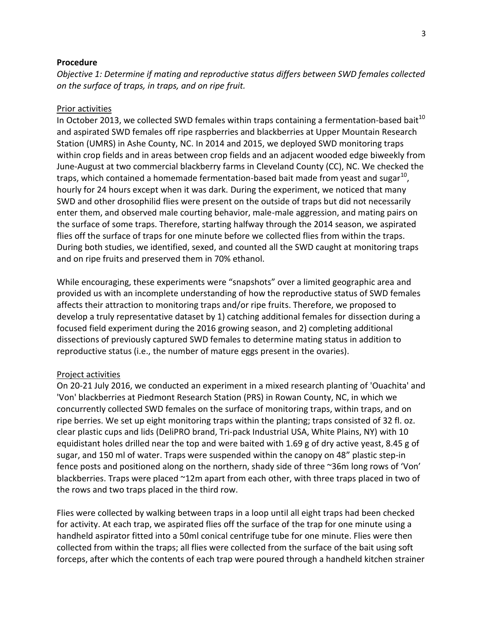## **Procedure**

*Objective 1: Determine if mating and reproductive status differs between SWD females collected on the surface of traps, in traps, and on ripe fruit.*

# Prior activities

In October 2013, we collected SWD females within traps containing a fermentation-based bait<sup>10</sup> and aspirated SWD females off ripe raspberries and blackberries at Upper Mountain Research Station (UMRS) in Ashe County, NC. In 2014 and 2015, we deployed SWD monitoring traps within crop fields and in areas between crop fields and an adjacent wooded edge biweekly from June-August at two commercial blackberry farms in Cleveland County (CC), NC. We checked the traps, which contained a homemade fermentation-based bait made from yeast and sugar $^{10}$ , hourly for 24 hours except when it was dark. During the experiment, we noticed that many SWD and other drosophilid flies were present on the outside of traps but did not necessarily enter them, and observed male courting behavior, male-male aggression, and mating pairs on the surface of some traps. Therefore, starting halfway through the 2014 season, we aspirated flies off the surface of traps for one minute before we collected flies from within the traps. During both studies, we identified, sexed, and counted all the SWD caught at monitoring traps and on ripe fruits and preserved them in 70% ethanol.

While encouraging, these experiments were "snapshots" over a limited geographic area and provided us with an incomplete understanding of how the reproductive status of SWD females affects their attraction to monitoring traps and/or ripe fruits. Therefore, we proposed to develop a truly representative dataset by 1) catching additional females for dissection during a focused field experiment during the 2016 growing season, and 2) completing additional dissections of previously captured SWD females to determine mating status in addition to reproductive status (i.e., the number of mature eggs present in the ovaries).

## Project activities

On 20-21 July 2016, we conducted an experiment in a mixed research planting of 'Ouachita' and 'Von' blackberries at Piedmont Research Station (PRS) in Rowan County, NC, in which we concurrently collected SWD females on the surface of monitoring traps, within traps, and on ripe berries. We set up eight monitoring traps within the planting; traps consisted of 32 fl. oz. clear plastic cups and lids (DeliPRO brand, Tri-pack Industrial USA, White Plains, NY) with 10 equidistant holes drilled near the top and were baited with 1.69 g of dry active yeast, 8.45 g of sugar, and 150 ml of water. Traps were suspended within the canopy on 48" plastic step-in fence posts and positioned along on the northern, shady side of three ~36m long rows of 'Von' blackberries. Traps were placed ~12m apart from each other, with three traps placed in two of the rows and two traps placed in the third row.

Flies were collected by walking between traps in a loop until all eight traps had been checked for activity. At each trap, we aspirated flies off the surface of the trap for one minute using a handheld aspirator fitted into a 50ml conical centrifuge tube for one minute. Flies were then collected from within the traps; all flies were collected from the surface of the bait using soft forceps, after which the contents of each trap were poured through a handheld kitchen strainer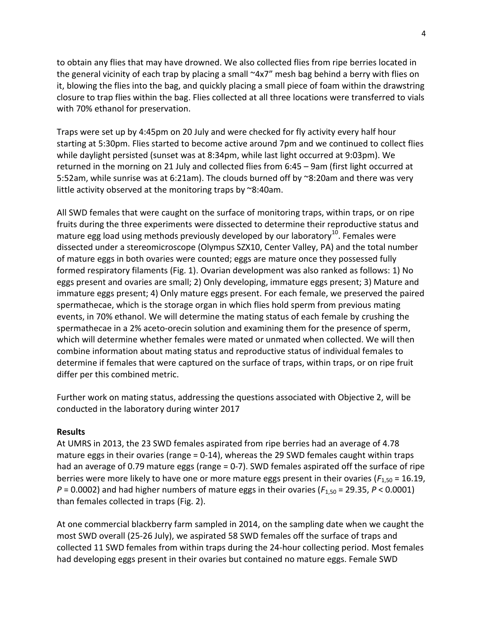to obtain any flies that may have drowned. We also collected flies from ripe berries located in the general vicinity of each trap by placing a small ~4x7" mesh bag behind a berry with flies on it, blowing the flies into the bag, and quickly placing a small piece of foam within the drawstring closure to trap flies within the bag. Flies collected at all three locations were transferred to vials with 70% ethanol for preservation.

Traps were set up by 4:45pm on 20 July and were checked for fly activity every half hour starting at 5:30pm. Flies started to become active around 7pm and we continued to collect flies while daylight persisted (sunset was at 8:34pm, while last light occurred at 9:03pm). We returned in the morning on 21 July and collected flies from 6:45 – 9am (first light occurred at 5:52am, while sunrise was at 6:21am). The clouds burned off by ~8:20am and there was very little activity observed at the monitoring traps by ~8:40am.

All SWD females that were caught on the surface of monitoring traps, within traps, or on ripe fruits during the three experiments were dissected to determine their reproductive status and mature egg load using methods previously developed by our laboratory<sup>10</sup>. Females were dissected under a stereomicroscope (Olympus SZX10, Center Valley, PA) and the total number of mature eggs in both ovaries were counted; eggs are mature once they possessed fully formed respiratory filaments (Fig. 1). Ovarian development was also ranked as follows: 1) No eggs present and ovaries are small; 2) Only developing, immature eggs present; 3) Mature and immature eggs present; 4) Only mature eggs present. For each female, we preserved the paired spermathecae, which is the storage organ in which flies hold sperm from previous mating events, in 70% ethanol. We will determine the mating status of each female by crushing the spermathecae in a 2% aceto-orecin solution and examining them for the presence of sperm, which will determine whether females were mated or unmated when collected. We will then combine information about mating status and reproductive status of individual females to determine if females that were captured on the surface of traps, within traps, or on ripe fruit differ per this combined metric.

Further work on mating status, addressing the questions associated with Objective 2, will be conducted in the laboratory during winter 2017

## **Results**

At UMRS in 2013, the 23 SWD females aspirated from ripe berries had an average of 4.78 mature eggs in their ovaries (range  $= 0.14$ ), whereas the 29 SWD females caught within traps had an average of 0.79 mature eggs (range = 0-7). SWD females aspirated off the surface of ripe berries were more likely to have one or more mature eggs present in their ovaries (*F*1,50 = 16.19,  $P = 0.0002$ ) and had higher numbers of mature eggs in their ovaries ( $F_{1,50} = 29.35$ ,  $P < 0.0001$ ) than females collected in traps (Fig. 2).

At one commercial blackberry farm sampled in 2014, on the sampling date when we caught the most SWD overall (25-26 July), we aspirated 58 SWD females off the surface of traps and collected 11 SWD females from within traps during the 24-hour collecting period. Most females had developing eggs present in their ovaries but contained no mature eggs. Female SWD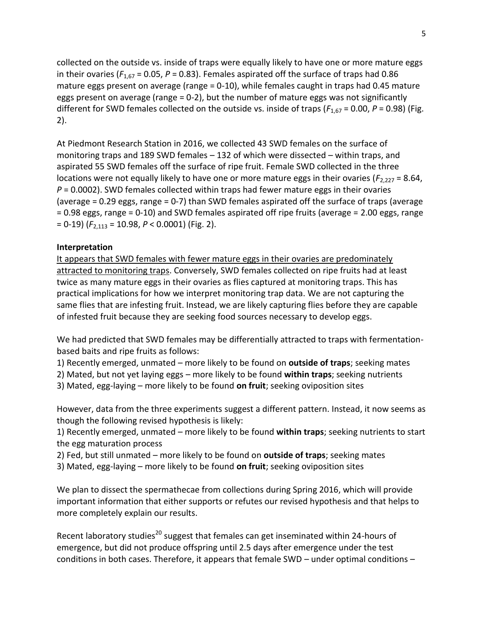collected on the outside vs. inside of traps were equally likely to have one or more mature eggs in their ovaries ( $F_{1,67}$  = 0.05,  $P$  = 0.83). Females aspirated off the surface of traps had 0.86 mature eggs present on average (range = 0-10), while females caught in traps had 0.45 mature eggs present on average (range = 0-2), but the number of mature eggs was not significantly different for SWD females collected on the outside vs. inside of traps ( $F_{1,67}$  = 0.00,  $P$  = 0.98) (Fig. 2).

At Piedmont Research Station in 2016, we collected 43 SWD females on the surface of monitoring traps and 189 SWD females – 132 of which were dissected – within traps, and aspirated 55 SWD females off the surface of ripe fruit. Female SWD collected in the three locations were not equally likely to have one or more mature eggs in their ovaries ( $F_{2,227}$  = 8.64, *P* = 0.0002). SWD females collected within traps had fewer mature eggs in their ovaries (average = 0.29 eggs, range = 0-7) than SWD females aspirated off the surface of traps (average = 0.98 eggs, range = 0-10) and SWD females aspirated off ripe fruits (average = 2.00 eggs, range = 0-19) (*F*2,113 = 10.98, *P* < 0.0001) (Fig. 2).

# **Interpretation**

It appears that SWD females with fewer mature eggs in their ovaries are predominately attracted to monitoring traps. Conversely, SWD females collected on ripe fruits had at least twice as many mature eggs in their ovaries as flies captured at monitoring traps. This has practical implications for how we interpret monitoring trap data. We are not capturing the same flies that are infesting fruit. Instead, we are likely capturing flies before they are capable of infested fruit because they are seeking food sources necessary to develop eggs.

We had predicted that SWD females may be differentially attracted to traps with fermentationbased baits and ripe fruits as follows:

1) Recently emerged, unmated – more likely to be found on **outside of traps**; seeking mates

2) Mated, but not yet laying eggs – more likely to be found **within traps**; seeking nutrients

3) Mated, egg-laying – more likely to be found **on fruit**; seeking oviposition sites

However, data from the three experiments suggest a different pattern. Instead, it now seems as though the following revised hypothesis is likely:

1) Recently emerged, unmated – more likely to be found **within traps**; seeking nutrients to start the egg maturation process

2) Fed, but still unmated – more likely to be found on **outside of traps**; seeking mates

3) Mated, egg-laying – more likely to be found **on fruit**; seeking oviposition sites

We plan to dissect the spermathecae from collections during Spring 2016, which will provide important information that either supports or refutes our revised hypothesis and that helps to more completely explain our results.

Recent laboratory studies<sup>20</sup> suggest that females can get inseminated within 24-hours of emergence, but did not produce offspring until 2.5 days after emergence under the test conditions in both cases. Therefore, it appears that female SWD – under optimal conditions –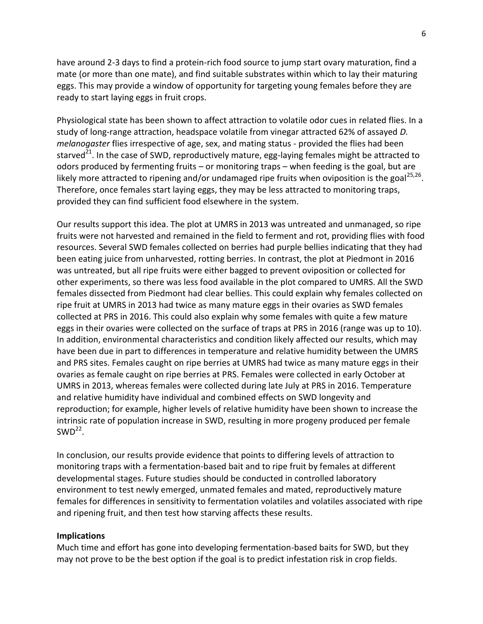have around 2-3 days to find a protein-rich food source to jump start ovary maturation, find a mate (or more than one mate), and find suitable substrates within which to lay their maturing eggs. This may provide a window of opportunity for targeting young females before they are ready to start laying eggs in fruit crops.

Physiological state has been shown to affect attraction to volatile odor cues in related flies. In a study of long-range attraction, headspace volatile from vinegar attracted 62% of assayed *D. melanogaster* flies irrespective of age, sex, and mating status - provided the flies had been starved<sup>21</sup>. In the case of SWD, reproductively mature, egg-laying females might be attracted to odors produced by fermenting fruits – or monitoring traps – when feeding is the goal, but are likely more attracted to ripening and/or undamaged ripe fruits when oviposition is the goal<sup>25,26</sup>. Therefore, once females start laying eggs, they may be less attracted to monitoring traps, provided they can find sufficient food elsewhere in the system.

Our results support this idea. The plot at UMRS in 2013 was untreated and unmanaged, so ripe fruits were not harvested and remained in the field to ferment and rot, providing flies with food resources. Several SWD females collected on berries had purple bellies indicating that they had been eating juice from unharvested, rotting berries. In contrast, the plot at Piedmont in 2016 was untreated, but all ripe fruits were either bagged to prevent oviposition or collected for other experiments, so there was less food available in the plot compared to UMRS. All the SWD females dissected from Piedmont had clear bellies. This could explain why females collected on ripe fruit at UMRS in 2013 had twice as many mature eggs in their ovaries as SWD females collected at PRS in 2016. This could also explain why some females with quite a few mature eggs in their ovaries were collected on the surface of traps at PRS in 2016 (range was up to 10). In addition, environmental characteristics and condition likely affected our results, which may have been due in part to differences in temperature and relative humidity between the UMRS and PRS sites. Females caught on ripe berries at UMRS had twice as many mature eggs in their ovaries as female caught on ripe berries at PRS. Females were collected in early October at UMRS in 2013, whereas females were collected during late July at PRS in 2016. Temperature and relative humidity have individual and combined effects on SWD longevity and reproduction; for example, higher levels of relative humidity have been shown to increase the intrinsic rate of population increase in SWD, resulting in more progeny produced per female  $SWD^{22}$ .

In conclusion, our results provide evidence that points to differing levels of attraction to monitoring traps with a fermentation-based bait and to ripe fruit by females at different developmental stages. Future studies should be conducted in controlled laboratory environment to test newly emerged, unmated females and mated, reproductively mature females for differences in sensitivity to fermentation volatiles and volatiles associated with ripe and ripening fruit, and then test how starving affects these results.

## **Implications**

Much time and effort has gone into developing fermentation-based baits for SWD, but they may not prove to be the best option if the goal is to predict infestation risk in crop fields.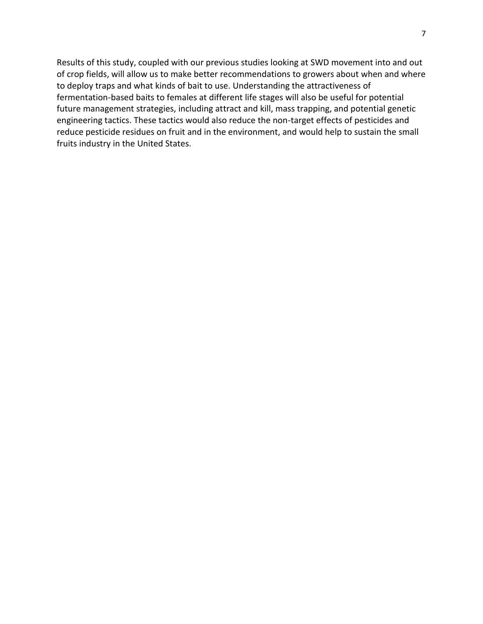Results of this study, coupled with our previous studies looking at SWD movement into and out of crop fields, will allow us to make better recommendations to growers about when and where to deploy traps and what kinds of bait to use. Understanding the attractiveness of fermentation-based baits to females at different life stages will also be useful for potential future management strategies, including attract and kill, mass trapping, and potential genetic engineering tactics. These tactics would also reduce the non-target effects of pesticides and reduce pesticide residues on fruit and in the environment, and would help to sustain the small fruits industry in the United States.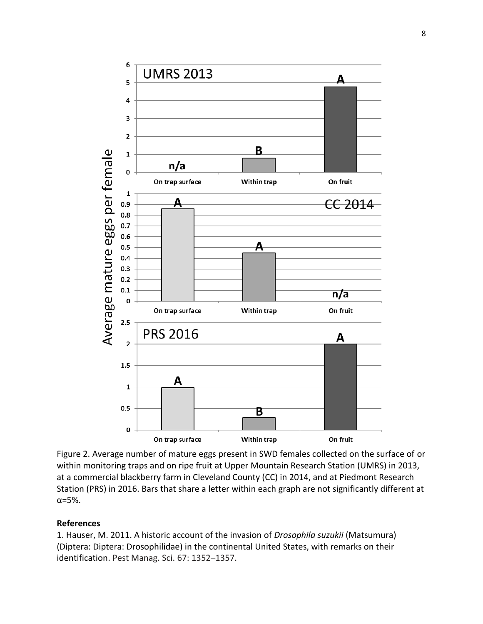

Figure 2. Average number of mature eggs present in SWD females collected on the surface of or within monitoring traps and on ripe fruit at Upper Mountain Research Station (UMRS) in 2013, at a commercial blackberry farm in Cleveland County (CC) in 2014, and at Piedmont Research Station (PRS) in 2016. Bars that share a letter within each graph are not significantly different at α=5%.

# **References**

1. Hauser, M. 2011. A historic account of the invasion of *Drosophila suzukii* (Matsumura) (Diptera: Diptera: Drosophilidae) in the continental United States, with remarks on their identification. Pest Manag. Sci. 67: 1352–1357.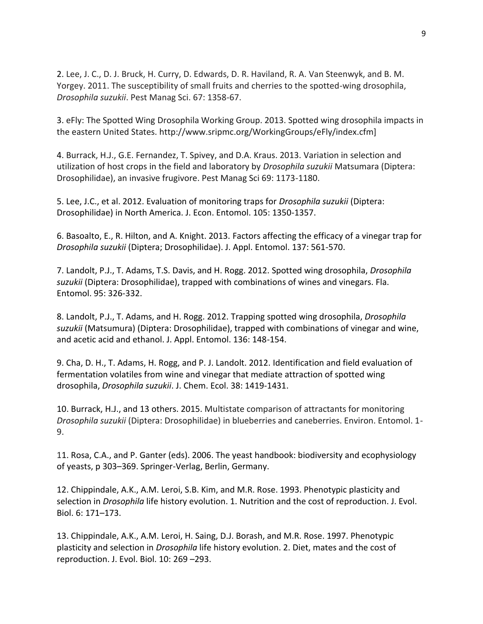2. Lee, J. C., D. J. Bruck, H. Curry, D. Edwards, D. R. Haviland, R. A. Van Steenwyk, and B. M. Yorgey. 2011. The susceptibility of small fruits and cherries to the spotted-wing drosophila, *Drosophila suzukii*. Pest Manag Sci. 67: 1358-67.

3. eFly: The Spotted Wing Drosophila Working Group. 2013. Spotted wing drosophila impacts in the eastern United States. http://www.sripmc.org/WorkingGroups/eFly/index.cfm]

4. Burrack, H.J., G.E. Fernandez, T. Spivey, and D.A. Kraus. 2013. Variation in selection and utilization of host crops in the field and laboratory by *Drosophila suzukii* Matsumara (Diptera: Drosophilidae), an invasive frugivore. Pest Manag Sci 69: 1173-1180.

5. Lee, J.C., et al. 2012. Evaluation of monitoring traps for *Drosophila suzukii* (Diptera: Drosophilidae) in North America. J. Econ. Entomol. 105: 1350-1357.

6. Basoalto, E., R. Hilton, and A. Knight. 2013. Factors affecting the efficacy of a vinegar trap for *Drosophila suzukii* (Diptera; Drosophilidae). J. Appl. Entomol. 137: 561-570.

7. Landolt, P.J., T. Adams, T.S. Davis, and H. Rogg. 2012. Spotted wing drosophila, *Drosophila suzukii* (Diptera: Drosophilidae), trapped with combinations of wines and vinegars. Fla. Entomol. 95: 326-332.

8. Landolt, P.J., T. Adams, and H. Rogg. 2012. Trapping spotted wing drosophila, *Drosophila suzukii* (Matsumura) (Diptera: Drosophilidae), trapped with combinations of vinegar and wine, and acetic acid and ethanol. J. Appl. Entomol. 136: 148-154.

9. Cha, D. H., T. Adams, H. Rogg, and P. J. Landolt. 2012. Identification and field evaluation of fermentation volatiles from wine and vinegar that mediate attraction of spotted wing drosophila, *Drosophila suzukii*. J. Chem. Ecol. 38: 1419-1431.

10. Burrack, H.J., and 13 others. 2015. Multistate comparison of attractants for monitoring *Drosophila suzukii* (Diptera: Drosophilidae) in blueberries and caneberries. Environ. Entomol. 1- 9.

11. Rosa, C.A., and P. Ganter (eds). 2006. The yeast handbook: biodiversity and ecophysiology of yeasts, p 303–369. Springer-Verlag, Berlin, Germany.

12. Chippindale, A.K., A.M. Leroi, S.B. Kim, and M.R. Rose. 1993. Phenotypic plasticity and selection in *Drosophila* life history evolution. 1. Nutrition and the cost of reproduction. J. Evol. Biol. 6: 171–173.

13. Chippindale, A.K., A.M. Leroi, H. Saing, D.J. Borash, and M.R. Rose. 1997. Phenotypic plasticity and selection in *Drosophila* life history evolution. 2. Diet, mates and the cost of reproduction. J. Evol. Biol. 10: 269 –293.